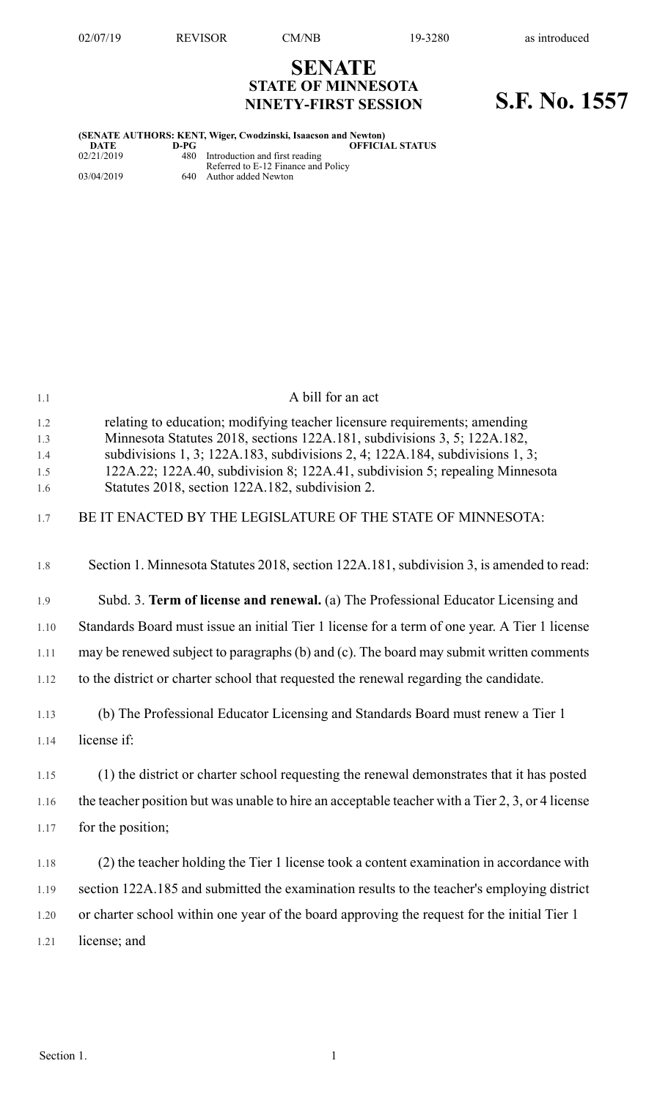# **SENATE STATE OF MINNESOTA NINETY-FIRST SESSION S.F. No. 1557**

| (SENATE AUTHORS: KENT, Wiger, Cwodzinski, Isaacson and Newton) |        |                                                                           |  |  |  |
|----------------------------------------------------------------|--------|---------------------------------------------------------------------------|--|--|--|
| DATE                                                           | $D-PC$ | <b>OFFICIAL STATUS</b>                                                    |  |  |  |
| 02/21/2019                                                     |        | 480 Introduction and first reading<br>Referred to E-12 Finance and Policy |  |  |  |
| 03/04/2019                                                     |        | 640 Author added Newton                                                   |  |  |  |

| 1.1                             | A bill for an act                                                                                                                                                                                                                                                                                                                                                        |
|---------------------------------|--------------------------------------------------------------------------------------------------------------------------------------------------------------------------------------------------------------------------------------------------------------------------------------------------------------------------------------------------------------------------|
| 1.2<br>1.3<br>1.4<br>1.5<br>1.6 | relating to education; modifying teacher licensure requirements; amending<br>Minnesota Statutes 2018, sections 122A.181, subdivisions 3, 5; 122A.182,<br>subdivisions 1, 3; 122A.183, subdivisions 2, 4; 122A.184, subdivisions 1, 3;<br>122A.22; 122A.40, subdivision 8; 122A.41, subdivision 5; repealing Minnesota<br>Statutes 2018, section 122A.182, subdivision 2. |
| 1.7                             | BE IT ENACTED BY THE LEGISLATURE OF THE STATE OF MINNESOTA:                                                                                                                                                                                                                                                                                                              |
| 1.8                             | Section 1. Minnesota Statutes 2018, section 122A.181, subdivision 3, is amended to read:                                                                                                                                                                                                                                                                                 |
| 1.9                             | Subd. 3. Term of license and renewal. (a) The Professional Educator Licensing and                                                                                                                                                                                                                                                                                        |
| 1.10                            | Standards Board must issue an initial Tier 1 license for a term of one year. A Tier 1 license                                                                                                                                                                                                                                                                            |
| 1.11                            | may be renewed subject to paragraphs (b) and (c). The board may submit written comments                                                                                                                                                                                                                                                                                  |
| 1.12                            | to the district or charter school that requested the renewal regarding the candidate.                                                                                                                                                                                                                                                                                    |
| 1.13                            | (b) The Professional Educator Licensing and Standards Board must renew a Tier 1                                                                                                                                                                                                                                                                                          |
| 1.14                            | license if:                                                                                                                                                                                                                                                                                                                                                              |
| 1.15                            | (1) the district or charter school requesting the renewal demonstrates that it has posted                                                                                                                                                                                                                                                                                |
| 1.16                            | the teacher position but was unable to hire an acceptable teacher with a Tier 2, 3, or 4 license                                                                                                                                                                                                                                                                         |
| 1.17                            | for the position;                                                                                                                                                                                                                                                                                                                                                        |
| 1.18                            | (2) the teacher holding the Tier 1 license took a content examination in accordance with                                                                                                                                                                                                                                                                                 |
| 1.19                            | section 122A.185 and submitted the examination results to the teacher's employing district                                                                                                                                                                                                                                                                               |
| 1.20                            | or charter school within one year of the board approving the request for the initial Tier 1                                                                                                                                                                                                                                                                              |
| 1.21                            | license; and                                                                                                                                                                                                                                                                                                                                                             |
|                                 |                                                                                                                                                                                                                                                                                                                                                                          |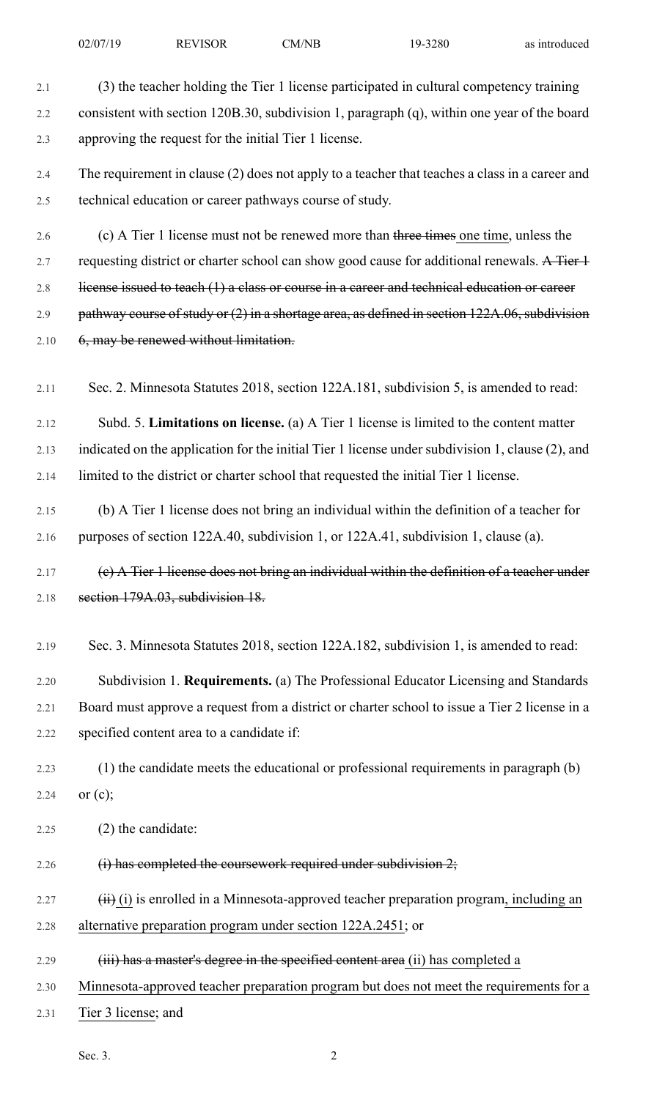2.1 (3) the teacher holding the Tier 1 license participated in cultural competency training 2.2 consistent with section 120B.30, subdivision 1, paragraph (q), within one year of the board 2.3 approving the request for the initial Tier 1 license. 2.4 The requirement in clause (2) does not apply to a teacher that teaches a class in a career and 2.5 technical education or career pathways course of study. 2.6 (c) A Tier 1 license must not be renewed more than three times one time, unless the 2.7 requesting district or charter school can show good cause for additional renewals. A Tier 1 2.8 license issued to teach (1) a class or course in a career and technical education or career 2.9 pathway course of study or (2) in a shortage area, as defined in section 122A.06, subdivision 2.10 6, may be renewed without limitation. 2.11 Sec. 2. Minnesota Statutes 2018, section 122A.181, subdivision 5, is amended to read: 2.12 Subd. 5. **Limitations on license.** (a) A Tier 1 license is limited to the content matter 2.13 indicated on the application for the initial Tier 1 license under subdivision 1, clause (2), and 2.14 limited to the district or charter school that requested the initial Tier 1 license. 2.15 (b) A Tier 1 license does not bring an individual within the definition of a teacher for 2.16 purposes of section 122A.40, subdivision 1, or 122A.41, subdivision 1, clause (a). 2.17 (c) A Tier 1 license does not bring an individual within the definition of a teacher under 2.18 section 179A.03, subdivision 18. 2.19 Sec. 3. Minnesota Statutes 2018, section 122A.182, subdivision 1, is amended to read: 2.20 Subdivision 1. **Requirements.** (a) The Professional Educator Licensing and Standards 2.21 Board must approve a request from a district or charter school to issue a Tier 2 license in a 2.22 specified content area to a candidate if: 2.23 (1) the candidate meets the educational or professional requirements in paragraph (b) 2.24 or  $(c)$ ; 2.25 (2) the candidate: 2.26  $(i)$  has completed the coursework required under subdivision  $2$ ;  $2.27$  (ii) is enrolled in a Minnesota-approved teacher preparation program, including an 2.28 alternative preparation program under section 122A.2451; or 2.29 (iii) has a master's degree in the specified content area (ii) has completed a 2.30 Minnesota-approved teacher preparation program but does not meet the requirements for a 2.31 Tier 3 license; and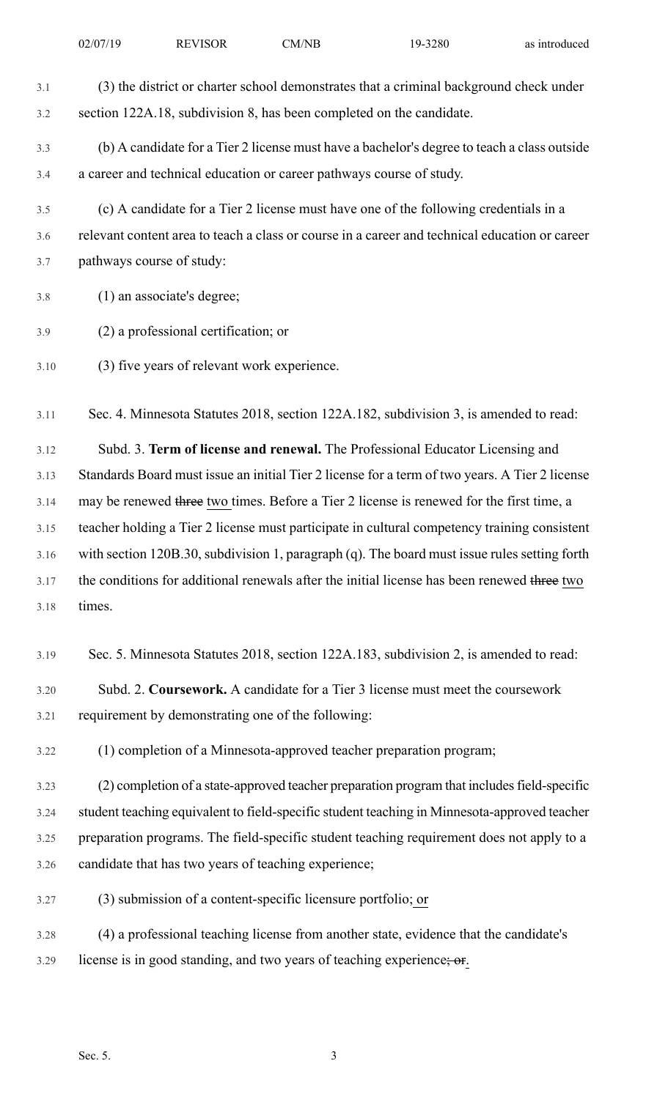| 3.1  | (3) the district or charter school demonstrates that a criminal background check under         |
|------|------------------------------------------------------------------------------------------------|
| 3.2  | section 122A.18, subdivision 8, has been completed on the candidate.                           |
| 3.3  | (b) A candidate for a Tier 2 license must have a bachelor's degree to teach a class outside    |
| 3.4  | a career and technical education or career pathways course of study.                           |
| 3.5  | (c) A candidate for a Tier 2 license must have one of the following credentials in a           |
| 3.6  | relevant content area to teach a class or course in a career and technical education or career |
| 3.7  | pathways course of study:                                                                      |
| 3.8  | (1) an associate's degree;                                                                     |
| 3.9  | (2) a professional certification; or                                                           |
| 3.10 | (3) five years of relevant work experience.                                                    |
| 3.11 | Sec. 4. Minnesota Statutes 2018, section 122A.182, subdivision 3, is amended to read:          |
| 3.12 | Subd. 3. Term of license and renewal. The Professional Educator Licensing and                  |
| 3.13 | Standards Board must issue an initial Tier 2 license for a term of two years. A Tier 2 license |
| 3.14 | may be renewed three two times. Before a Tier 2 license is renewed for the first time, a       |
| 3.15 | teacher holding a Tier 2 license must participate in cultural competency training consistent   |
| 3.16 | with section 120B.30, subdivision 1, paragraph (q). The board must issue rules setting forth   |
| 3.17 | the conditions for additional renewals after the initial license has been renewed three two    |
| 3.18 | times.                                                                                         |
| 3.19 | Sec. 5. Minnesota Statutes 2018, section 122A.183, subdivision 2, is amended to read:          |
| 3.20 | Subd. 2. Coursework. A candidate for a Tier 3 license must meet the coursework                 |
| 3.21 | requirement by demonstrating one of the following:                                             |
| 3.22 | (1) completion of a Minnesota-approved teacher preparation program;                            |
| 3.23 | (2) completion of a state-approved teacher preparation program that includes field-specific    |
| 3.24 | student teaching equivalent to field-specific student teaching in Minnesota-approved teacher   |
| 3.25 | preparation programs. The field-specific student teaching requirement does not apply to a      |
| 3.26 | candidate that has two years of teaching experience;                                           |
| 3.27 | (3) submission of a content-specific licensure portfolio; or                                   |
| 3.28 | (4) a professional teaching license from another state, evidence that the candidate's          |
| 3.29 | license is in good standing, and two years of teaching experience; or                          |
|      |                                                                                                |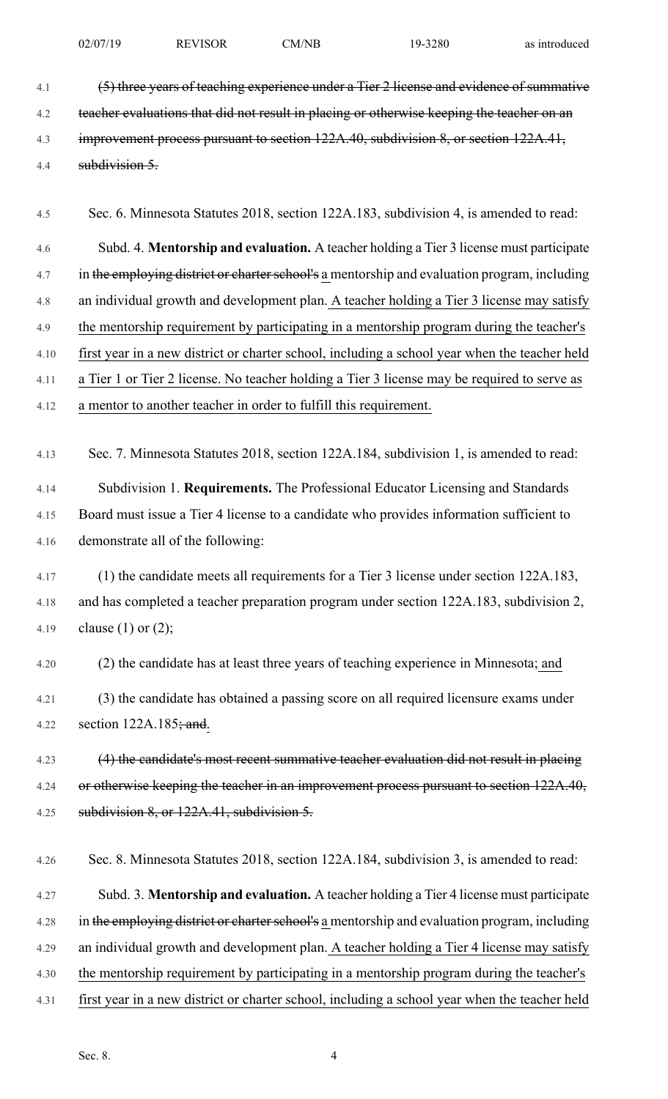4.1 (5) three years of teaching experience under a Tier 2 license and evidence of summative 4.2 teacher evaluations that did not result in placing or otherwise keeping the teacher on an 4.3 improvement process pursuant to section 122A.40, subdivision 8, or section 122A.41, 4.4 subdivision 5.

4.5 Sec. 6. Minnesota Statutes 2018, section 122A.183, subdivision 4, is amended to read:

4.6 Subd. 4. **Mentorship and evaluation.** A teacher holding a Tier 3 license must participate 4.7 in the employing district or charter school's a mentorship and evaluation program, including 4.8 an individual growth and development plan. A teacher holding a Tier 3 license may satisfy 4.9 the mentorship requirement by participating in a mentorship program during the teacher's 4.10 first year in a new district or charter school, including a school year when the teacher held

4.11 a Tier 1 or Tier 2 license. No teacher holding a Tier 3 license may be required to serve as

4.12 a mentor to another teacher in order to fulfill this requirement.

4.13 Sec. 7. Minnesota Statutes 2018, section 122A.184, subdivision 1, is amended to read:

4.14 Subdivision 1. **Requirements.** The Professional Educator Licensing and Standards 4.15 Board must issue a Tier 4 license to a candidate who provides information sufficient to 4.16 demonstrate all of the following:

4.17 (1) the candidate meets all requirements for a Tier 3 license under section 122A.183, 4.18 and has completed a teacher preparation program under section 122A.183, subdivision 2, 4.19 clause (1) or (2);

4.20 (2) the candidate has at least three years of teaching experience in Minnesota; and

4.21 (3) the candidate has obtained a passing score on all required licensure exams under 4.22 section  $122A.185$ ; and.

4.23 (4) the candidate's most recent summative teacher evaluation did not result in placing 4.24 or otherwise keeping the teacher in an improvement process pursuant to section 122A.40, 4.25 subdivision 8, or 122A.41, subdivision 5.

4.26 Sec. 8. Minnesota Statutes 2018, section 122A.184, subdivision 3, is amended to read:

4.27 Subd. 3. **Mentorship and evaluation.** A teacher holding a Tier 4 license must participate 4.28 in the employing district or charter school's a mentorship and evaluation program, including 4.29 an individual growth and development plan. A teacher holding a Tier 4 license may satisfy 4.30 the mentorship requirement by participating in a mentorship program during the teacher's 4.31 first year in a new district or charter school, including a school year when the teacher held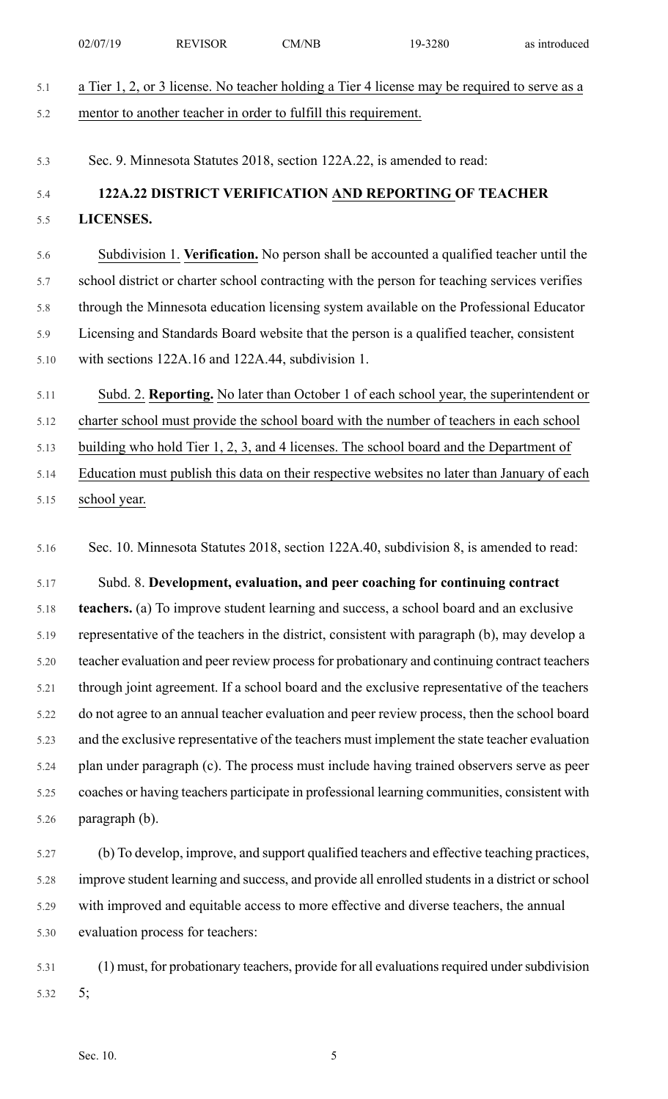|      | 02/07/19       | <b>REVISOR</b>                                                  | CM/NB | 19-3280                                                                                         | as introduced |
|------|----------------|-----------------------------------------------------------------|-------|-------------------------------------------------------------------------------------------------|---------------|
| 5.1  |                |                                                                 |       | a Tier 1, 2, or 3 license. No teacher holding a Tier 4 license may be required to serve as a    |               |
| 5.2  |                | mentor to another teacher in order to fulfill this requirement. |       |                                                                                                 |               |
|      |                |                                                                 |       |                                                                                                 |               |
| 5.3  |                |                                                                 |       | Sec. 9. Minnesota Statutes 2018, section 122A.22, is amended to read:                           |               |
| 5.4  |                |                                                                 |       | 122A.22 DISTRICT VERIFICATION AND REPORTING OF TEACHER                                          |               |
| 5.5  | LICENSES.      |                                                                 |       |                                                                                                 |               |
| 5.6  |                |                                                                 |       | Subdivision 1. Verification. No person shall be accounted a qualified teacher until the         |               |
| 5.7  |                |                                                                 |       | school district or charter school contracting with the person for teaching services verifies    |               |
| 5.8  |                |                                                                 |       | through the Minnesota education licensing system available on the Professional Educator         |               |
| 5.9  |                |                                                                 |       | Licensing and Standards Board website that the person is a qualified teacher, consistent        |               |
| 5.10 |                | with sections 122A.16 and 122A.44, subdivision 1.               |       |                                                                                                 |               |
| 5.11 |                |                                                                 |       | Subd. 2. Reporting. No later than October 1 of each school year, the superintendent or          |               |
| 5.12 |                |                                                                 |       | charter school must provide the school board with the number of teachers in each school         |               |
| 5.13 |                |                                                                 |       | building who hold Tier 1, 2, 3, and 4 licenses. The school board and the Department of          |               |
| 5.14 |                |                                                                 |       | Education must publish this data on their respective websites no later than January of each     |               |
| 5.15 | school year.   |                                                                 |       |                                                                                                 |               |
|      |                |                                                                 |       |                                                                                                 |               |
| 5.16 |                |                                                                 |       | Sec. 10. Minnesota Statutes 2018, section 122A.40, subdivision 8, is amended to read:           |               |
| 5.17 |                |                                                                 |       | Subd. 8. Development, evaluation, and peer coaching for continuing contract                     |               |
| 5.18 |                |                                                                 |       | teachers. (a) To improve student learning and success, a school board and an exclusive          |               |
| 5.19 |                |                                                                 |       | representative of the teachers in the district, consistent with paragraph (b), may develop a    |               |
| 5.20 |                |                                                                 |       | teacher evaluation and peer review process for probationary and continuing contract teachers    |               |
| 5.21 |                |                                                                 |       | through joint agreement. If a school board and the exclusive representative of the teachers     |               |
| 5.22 |                |                                                                 |       | do not agree to an annual teacher evaluation and peer review process, then the school board     |               |
| 5.23 |                |                                                                 |       | and the exclusive representative of the teachers must implement the state teacher evaluation    |               |
| 5.24 |                |                                                                 |       | plan under paragraph (c). The process must include having trained observers serve as peer       |               |
| 5.25 |                |                                                                 |       | coaches or having teachers participate in professional learning communities, consistent with    |               |
| 5.26 | paragraph (b). |                                                                 |       |                                                                                                 |               |
| 5.27 |                |                                                                 |       | (b) To develop, improve, and support qualified teachers and effective teaching practices,       |               |
| 5.28 |                |                                                                 |       | improve student learning and success, and provide all enrolled students in a district or school |               |
| 5.29 |                |                                                                 |       | with improved and equitable access to more effective and diverse teachers, the annual           |               |
| 5.30 |                | evaluation process for teachers:                                |       |                                                                                                 |               |
| 5.31 |                |                                                                 |       | (1) must, for probationary teachers, provide for all evaluations required under subdivision     |               |
|      |                |                                                                 |       |                                                                                                 |               |

5.32 5;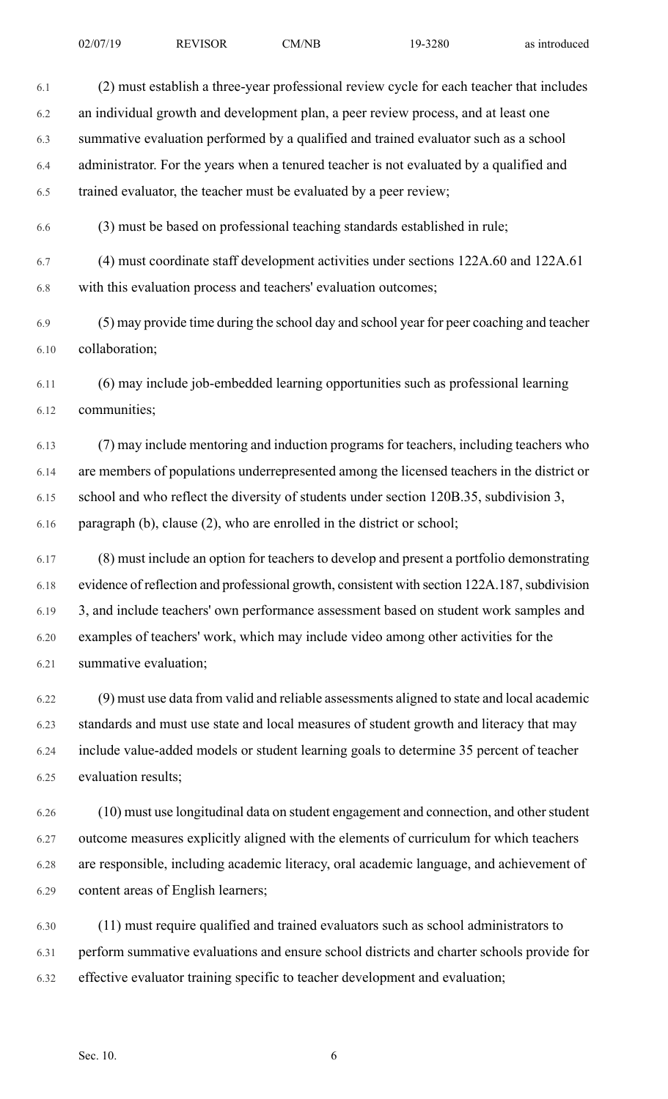6.1 (2) must establish a three-year professional review cycle for each teacher that includes 6.2 an individual growth and development plan, a peer review process, and at least one 6.3 summative evaluation performed by a qualified and trained evaluator such as a school 6.4 administrator. For the years when a tenured teacher is not evaluated by a qualified and 6.5 trained evaluator, the teacher must be evaluated by a peer review; 6.6 (3) must be based on professional teaching standards established in rule; 6.7 (4) must coordinate staff development activities under sections 122A.60 and 122A.61 6.8 with this evaluation process and teachers' evaluation outcomes; 6.9 (5) may provide time during the school day and school year for peer coaching and teacher 6.10 collaboration; 6.11 (6) may include job-embedded learning opportunities such as professional learning 6.12 communities; 6.13 (7) may include mentoring and induction programs for teachers, including teachers who 6.14 are members of populations underrepresented among the licensed teachers in the district or 6.15 school and who reflect the diversity of students under section 120B.35, subdivision 3, 6.16 paragraph (b), clause (2), who are enrolled in the district or school; 6.17 (8) must include an option for teachers to develop and present a portfolio demonstrating

6.18 evidence of reflection and professional growth, consistent with section 122A.187, subdivision 6.19 3, and include teachers' own performance assessment based on student work samples and 6.20 examples of teachers' work, which may include video among other activities for the 6.21 summative evaluation;

6.22 (9) must use data from valid and reliable assessments aligned to state and local academic 6.23 standards and must use state and local measures of student growth and literacy that may 6.24 include value-added models or student learning goals to determine 35 percent of teacher 6.25 evaluation results;

6.26 (10) must use longitudinal data on student engagement and connection, and otherstudent 6.27 outcome measures explicitly aligned with the elements of curriculum for which teachers 6.28 are responsible, including academic literacy, oral academic language, and achievement of 6.29 content areas of English learners;

6.30 (11) must require qualified and trained evaluators such as school administrators to 6.31 perform summative evaluations and ensure school districts and charter schools provide for 6.32 effective evaluator training specific to teacher development and evaluation;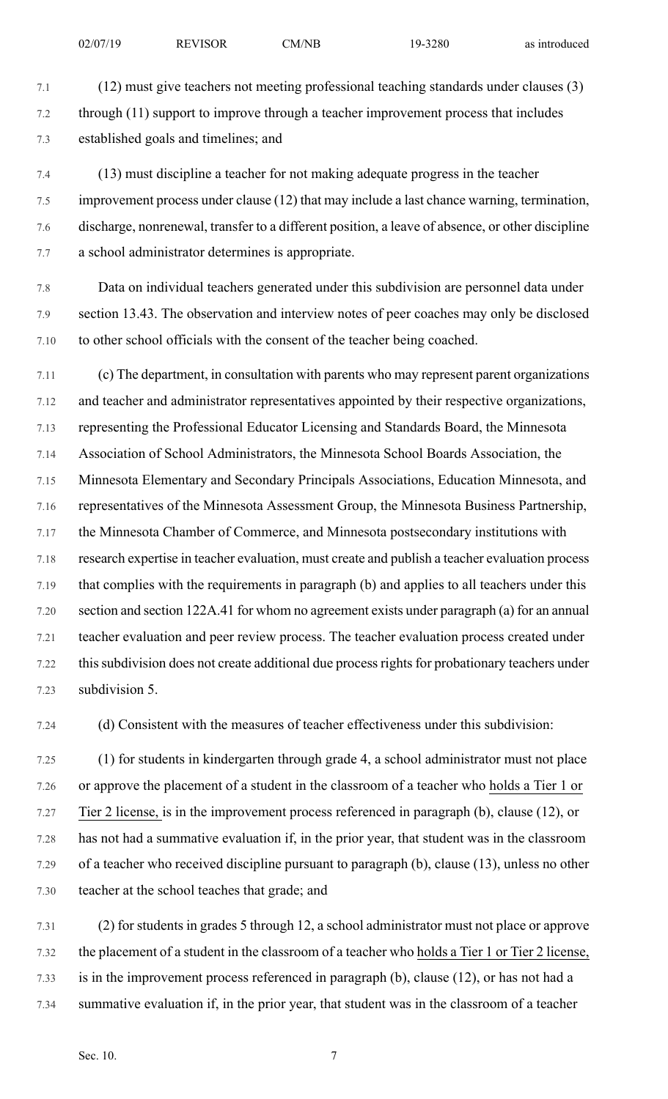7.1 (12) must give teachers not meeting professional teaching standards under clauses (3) 7.2 through (11) support to improve through a teacher improvement process that includes 7.3 established goals and timelines; and

7.4 (13) must discipline a teacher for not making adequate progress in the teacher 7.5 improvement process under clause (12) that may include a last chance warning, termination, 7.6 discharge, nonrenewal, transfer to a different position, a leave of absence, or other discipline 7.7 a school administrator determines is appropriate.

7.8 Data on individual teachers generated under this subdivision are personnel data under 7.9 section 13.43. The observation and interview notes of peer coaches may only be disclosed 7.10 to other school officials with the consent of the teacher being coached.

7.11 (c) The department, in consultation with parents who may represent parent organizations 7.12 and teacher and administrator representatives appointed by their respective organizations, 7.13 representing the Professional Educator Licensing and Standards Board, the Minnesota 7.14 Association of School Administrators, the Minnesota School Boards Association, the 7.15 Minnesota Elementary and Secondary Principals Associations, Education Minnesota, and 7.16 representatives of the Minnesota Assessment Group, the Minnesota Business Partnership, 7.17 the Minnesota Chamber of Commerce, and Minnesota postsecondary institutions with 7.18 research expertise in teacher evaluation, must create and publish a teacher evaluation process 7.19 that complies with the requirements in paragraph (b) and applies to all teachers under this 7.20 section and section 122A.41 for whom no agreement exists under paragraph (a) for an annual 7.21 teacher evaluation and peer review process. The teacher evaluation process created under 7.22 thissubdivision does not create additional due processrightsfor probationary teachers under 7.23 subdivision 5.

7.24 (d) Consistent with the measures of teacher effectiveness under this subdivision:

7.25 (1) for students in kindergarten through grade 4, a school administrator must not place 7.26 or approve the placement of a student in the classroom of a teacher who holds a Tier 1 or 7.27 Tier 2 license, is in the improvement process referenced in paragraph (b), clause (12), or 7.28 has not had a summative evaluation if, in the prior year, that student was in the classroom 7.29 of a teacher who received discipline pursuant to paragraph (b), clause (13), unless no other 7.30 teacher at the school teaches that grade; and

7.31 (2) for students in grades 5 through 12, a school administrator must not place or approve 7.32 the placement of a student in the classroom of a teacher who holds a Tier 1 or Tier 2 license, 7.33 is in the improvement process referenced in paragraph (b), clause (12), or has not had a 7.34 summative evaluation if, in the prior year, that student was in the classroom of a teacher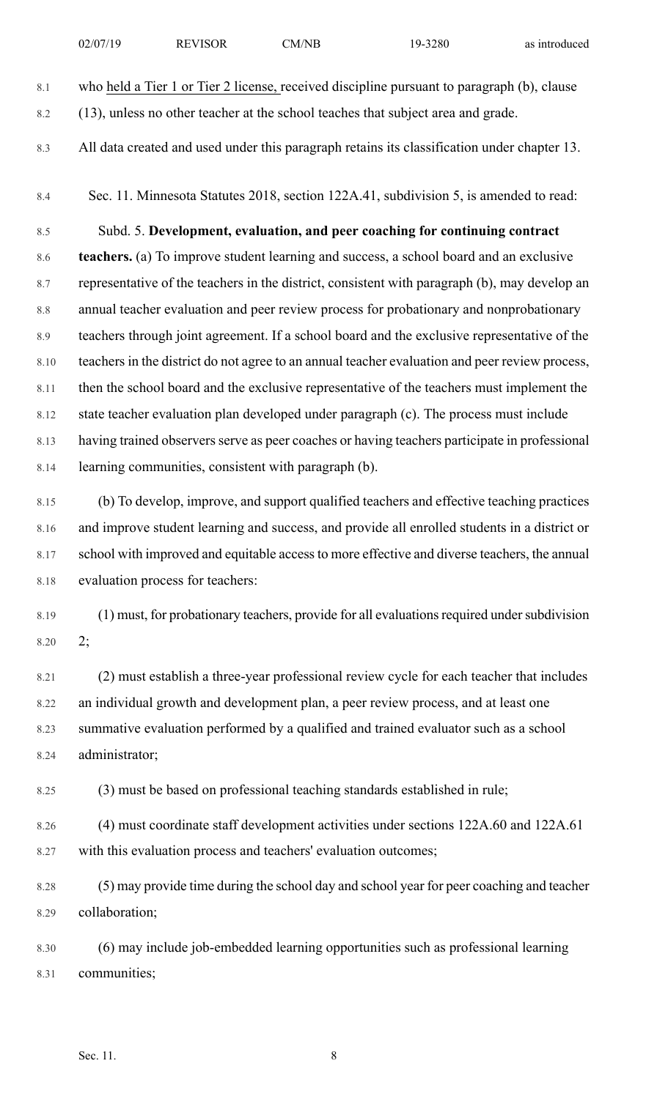|      | 02/07/19                                                                               | <b>REVISOR</b>                                                  | CM/NB | 19-3280                                                                                        | as introduced |  |  |
|------|----------------------------------------------------------------------------------------|-----------------------------------------------------------------|-------|------------------------------------------------------------------------------------------------|---------------|--|--|
| 8.1  |                                                                                        |                                                                 |       | who held a Tier 1 or Tier 2 license, received discipline pursuant to paragraph (b), clause     |               |  |  |
| 8.2  |                                                                                        |                                                                 |       | (13), unless no other teacher at the school teaches that subject area and grade.               |               |  |  |
| 8.3  |                                                                                        |                                                                 |       | All data created and used under this paragraph retains its classification under chapter 13.    |               |  |  |
| 8.4  |                                                                                        |                                                                 |       | Sec. 11. Minnesota Statutes 2018, section 122A.41, subdivision 5, is amended to read:          |               |  |  |
| 8.5  |                                                                                        |                                                                 |       | Subd. 5. Development, evaluation, and peer coaching for continuing contract                    |               |  |  |
| 8.6  |                                                                                        |                                                                 |       | teachers. (a) To improve student learning and success, a school board and an exclusive         |               |  |  |
| 8.7  |                                                                                        |                                                                 |       | representative of the teachers in the district, consistent with paragraph (b), may develop an  |               |  |  |
| 8.8  | annual teacher evaluation and peer review process for probationary and nonprobationary |                                                                 |       |                                                                                                |               |  |  |
| 8.9  |                                                                                        |                                                                 |       | teachers through joint agreement. If a school board and the exclusive representative of the    |               |  |  |
| 8.10 |                                                                                        |                                                                 |       | teachers in the district do not agree to an annual teacher evaluation and peer review process, |               |  |  |
| 8.11 |                                                                                        |                                                                 |       | then the school board and the exclusive representative of the teachers must implement the      |               |  |  |
| 8.12 |                                                                                        |                                                                 |       | state teacher evaluation plan developed under paragraph (c). The process must include          |               |  |  |
| 8.13 |                                                                                        |                                                                 |       | having trained observers serve as peer coaches or having teachers participate in professional  |               |  |  |
| 8.14 |                                                                                        | learning communities, consistent with paragraph (b).            |       |                                                                                                |               |  |  |
| 8.15 |                                                                                        |                                                                 |       | (b) To develop, improve, and support qualified teachers and effective teaching practices       |               |  |  |
| 8.16 |                                                                                        |                                                                 |       | and improve student learning and success, and provide all enrolled students in a district or   |               |  |  |
| 8.17 |                                                                                        |                                                                 |       | school with improved and equitable access to more effective and diverse teachers, the annual   |               |  |  |
| 8.18 | evaluation process for teachers:                                                       |                                                                 |       |                                                                                                |               |  |  |
| 8.19 |                                                                                        |                                                                 |       | (1) must, for probationary teachers, provide for all evaluations required under subdivision    |               |  |  |
| 8.20 | 2;                                                                                     |                                                                 |       |                                                                                                |               |  |  |
| 8.21 |                                                                                        |                                                                 |       | (2) must establish a three-year professional review cycle for each teacher that includes       |               |  |  |
| 8.22 |                                                                                        |                                                                 |       | an individual growth and development plan, a peer review process, and at least one             |               |  |  |
| 8.23 | summative evaluation performed by a qualified and trained evaluator such as a school   |                                                                 |       |                                                                                                |               |  |  |
| 8.24 | administrator;                                                                         |                                                                 |       |                                                                                                |               |  |  |
| 8.25 |                                                                                        |                                                                 |       | (3) must be based on professional teaching standards established in rule;                      |               |  |  |
| 8.26 |                                                                                        |                                                                 |       | (4) must coordinate staff development activities under sections 122A.60 and 122A.61            |               |  |  |
| 8.27 |                                                                                        | with this evaluation process and teachers' evaluation outcomes; |       |                                                                                                |               |  |  |
| 8.28 |                                                                                        |                                                                 |       | (5) may provide time during the school day and school year for peer coaching and teacher       |               |  |  |
| 8.29 | collaboration;                                                                         |                                                                 |       |                                                                                                |               |  |  |

8.30 (6) may include job-embedded learning opportunities such as professional learning 8.31 communities;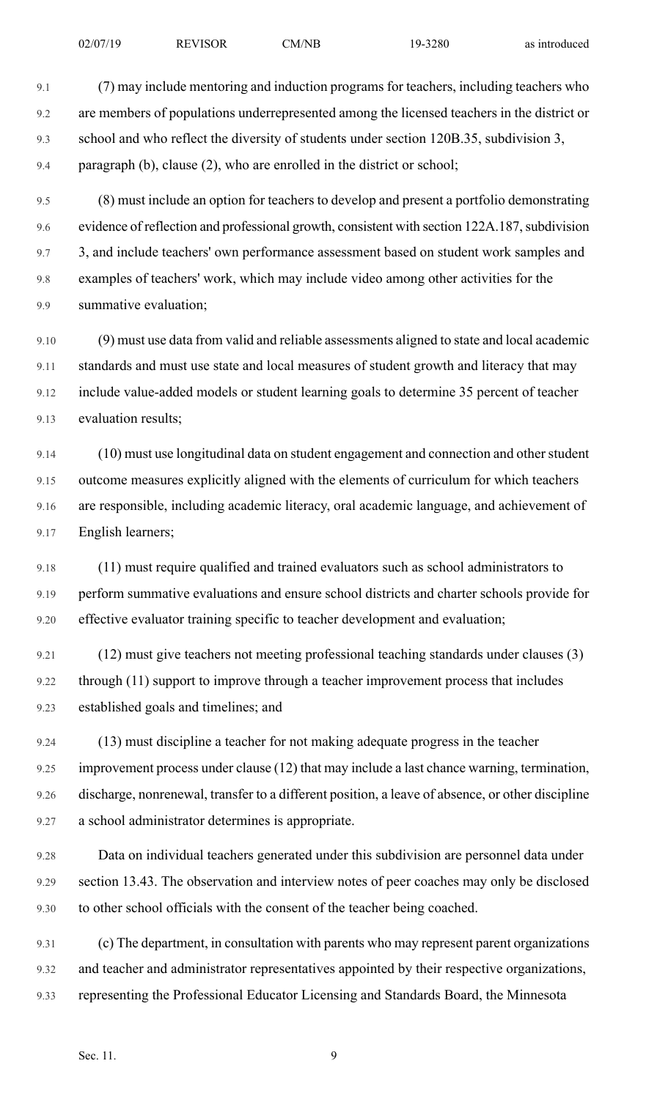9.1 (7) may include mentoring and induction programs for teachers, including teachers who 9.2 are members of populations underrepresented among the licensed teachers in the district or 9.3 school and who reflect the diversity of students under section 120B.35, subdivision 3, 9.4 paragraph (b), clause (2), who are enrolled in the district or school;

9.5 (8) must include an option for teachers to develop and present a portfolio demonstrating 9.6 evidence of reflection and professional growth, consistent with section 122A.187, subdivision 9.7 3, and include teachers' own performance assessment based on student work samples and 9.8 examples of teachers' work, which may include video among other activities for the 9.9 summative evaluation;

9.10 (9) must use data from valid and reliable assessments aligned to state and local academic 9.11 standards and must use state and local measures of student growth and literacy that may 9.12 include value-added models or student learning goals to determine 35 percent of teacher 9.13 evaluation results;

9.14 (10) must use longitudinal data on student engagement and connection and other student 9.15 outcome measures explicitly aligned with the elements of curriculum for which teachers 9.16 are responsible, including academic literacy, oral academic language, and achievement of 9.17 English learners;

9.18 (11) must require qualified and trained evaluators such as school administrators to 9.19 perform summative evaluations and ensure school districts and charter schools provide for 9.20 effective evaluator training specific to teacher development and evaluation;

9.21 (12) must give teachers not meeting professional teaching standards under clauses (3) 9.22 through (11) support to improve through a teacher improvement process that includes 9.23 established goals and timelines; and

9.24 (13) must discipline a teacher for not making adequate progress in the teacher 9.25 improvement process under clause (12) that may include a last chance warning, termination, 9.26 discharge, nonrenewal, transfer to a different position, a leave of absence, or other discipline 9.27 a school administrator determines is appropriate.

9.28 Data on individual teachers generated under this subdivision are personnel data under 9.29 section 13.43. The observation and interview notes of peer coaches may only be disclosed 9.30 to other school officials with the consent of the teacher being coached.

9.31 (c) The department, in consultation with parents who may represent parent organizations 9.32 and teacher and administrator representatives appointed by their respective organizations, 9.33 representing the Professional Educator Licensing and Standards Board, the Minnesota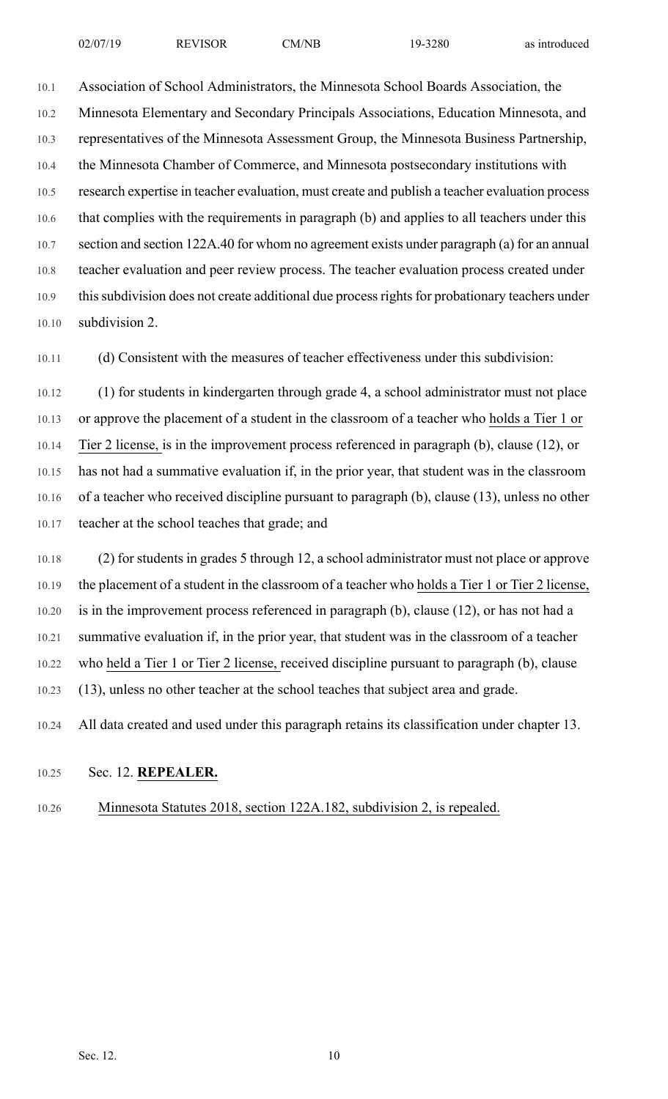10.1 Association of School Administrators, the Minnesota School Boards Association, the 10.2 Minnesota Elementary and Secondary Principals Associations, Education Minnesota, and 10.3 representatives of the Minnesota Assessment Group, the Minnesota Business Partnership, 10.4 the Minnesota Chamber of Commerce, and Minnesota postsecondary institutions with 10.5 research expertise in teacher evaluation, must create and publish a teacher evaluation process 10.6 that complies with the requirements in paragraph (b) and applies to all teachers under this 10.7 section and section 122A.40 for whom no agreement exists under paragraph (a) for an annual 10.8 teacher evaluation and peer review process. The teacher evaluation process created under 10.9 this subdivision does not create additional due process rights for probationary teachers under 10.10 subdivision 2.

10.11 (d) Consistent with the measures of teacher effectiveness under this subdivision:

10.12 (1) for students in kindergarten through grade 4, a school administrator must not place 10.13 or approve the placement of a student in the classroom of a teacher who holds a Tier 1 or 10.14 Tier 2 license, is in the improvement process referenced in paragraph (b), clause (12), or 10.15 has not had a summative evaluation if, in the prior year, that student was in the classroom 10.16 of a teacher who received discipline pursuant to paragraph (b), clause (13), unless no other 10.17 teacher at the school teaches that grade; and

10.18 (2) for students in grades 5 through 12, a school administrator must not place or approve 10.19 the placement of a student in the classroom of a teacher who holds a Tier 1 or Tier 2 license, 10.20 is in the improvement process referenced in paragraph (b), clause (12), or has not had a 10.21 summative evaluation if, in the prior year, that student was in the classroom of a teacher 10.22 who held a Tier 1 or Tier 2 license, received discipline pursuant to paragraph (b), clause 10.23 (13), unless no other teacher at the school teaches that subject area and grade.

10.24 All data created and used under this paragraph retains its classification under chapter 13.

# 10.25 Sec. 12. **REPEALER.**

10.26 Minnesota Statutes 2018, section 122A.182, subdivision 2, is repealed.